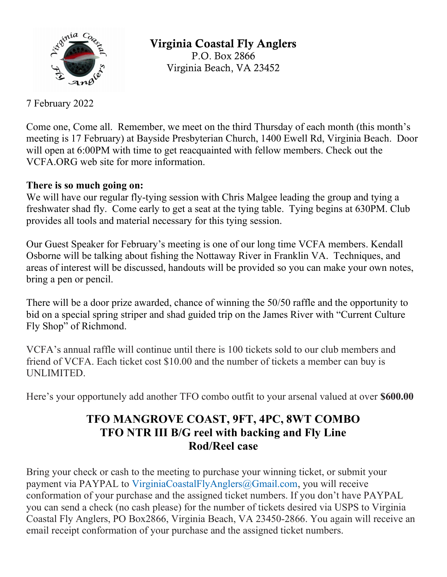

Virginia Coastal Fly Anglers P.O. Box 2866 Virginia Beach, VA 23452

7 February 2022

Come one, Come all. Remember, we meet on the third Thursday of each month (this month's meeting is 17 February) at Bayside Presbyterian Church, 1400 Ewell Rd, Virginia Beach. Door will open at 6:00PM with time to get reacquainted with fellow members. Check out the VCFA.ORG web site for more information.

## There is so much going on:

We will have our regular fly-tying session with Chris Malgee leading the group and tying a freshwater shad fly. Come early to get a seat at the tying table. Tying begins at 630PM. Club provides all tools and material necessary for this tying session.

Our Guest Speaker for February's meeting is one of our long time VCFA members. Kendall Osborne will be talking about fishing the Nottaway River in Franklin VA. Techniques, and areas of interest will be discussed, handouts will be provided so you can make your own notes, bring a pen or pencil.

There will be a door prize awarded, chance of winning the 50/50 raffle and the opportunity to bid on a special spring striper and shad guided trip on the James River with "Current Culture Fly Shop" of Richmond.

VCFA's annual raffle will continue until there is 100 tickets sold to our club members and friend of VCFA. Each ticket cost \$10.00 and the number of tickets a member can buy is UNLIMITED.

Here's your opportunely add another TFO combo outfit to your arsenal valued at over \$600.00

## TFO MANGROVE COAST, 9FT, 4PC, 8WT COMBO TFO NTR III B/G reel with backing and Fly Line Rod/Reel case

Bring your check or cash to the meeting to purchase your winning ticket, or submit your payment via PAYPAL to VirginiaCoastalFlyAnglers@Gmail.com, you will receive conformation of your purchase and the assigned ticket numbers. If you don't have PAYPAL you can send a check (no cash please) for the number of tickets desired via USPS to Virginia Coastal Fly Anglers, PO Box2866, Virginia Beach, VA 23450-2866. You again will receive an email receipt conformation of your purchase and the assigned ticket numbers.